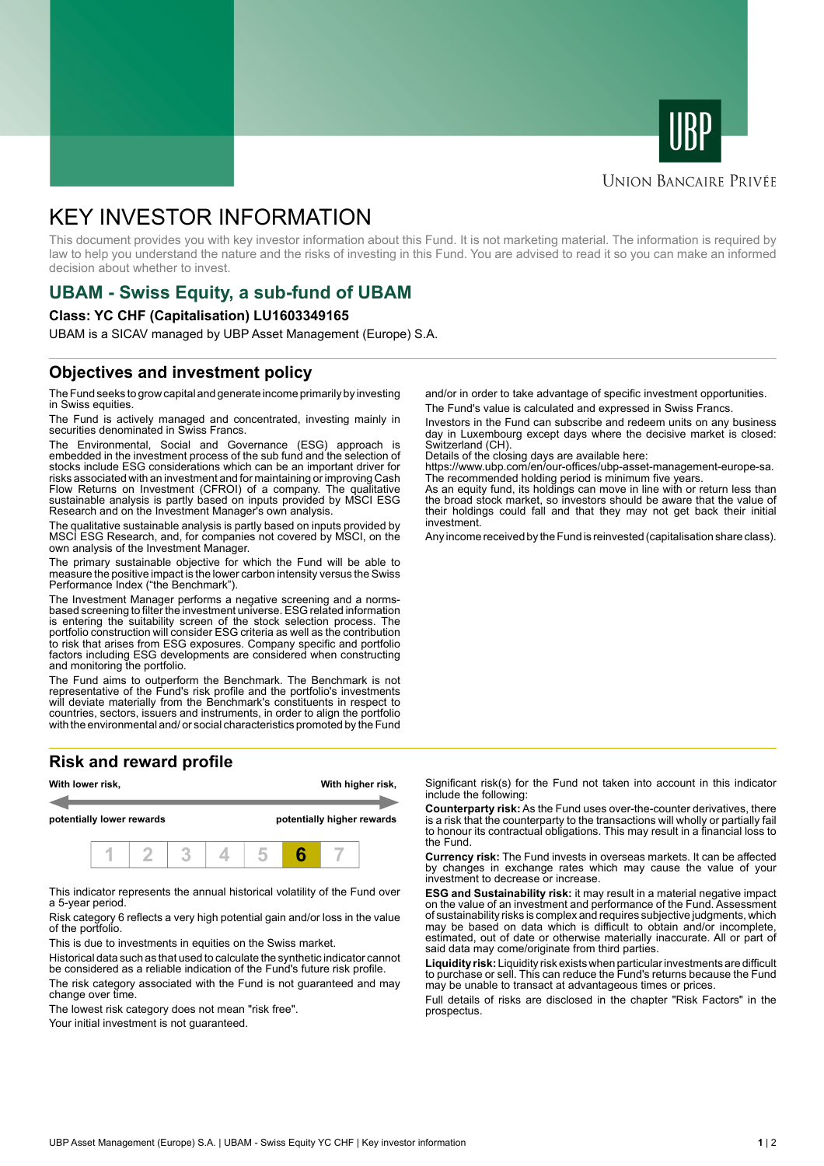



### **UNION BANCAIRE PRIVÉE**

# KEY INVESTOR INFORMATION

This document provides you with key investor information about this Fund. It is not marketing material. The information is required by law to help you understand the nature and the risks of investing in this Fund. You are advised to read it so you can make an informed decision about whether to invest.

# **UBAM - Swiss Equity, a sub-fund of UBAM**

#### **Class: YC CHF (Capitalisation) LU1603349165**

UBAM is a SICAV managed by UBP Asset Management (Europe) S.A.

## **Objectives and investment policy**

The Fund seeks to grow capital and generate income primarily by investing in Swiss equities.

The Fund is actively managed and concentrated, investing mainly in securities denominated in Swiss Francs.

The Environmental, Social and Governance (ESG) approach is embedded in the investment process of the sub fund and the selection of stocks include ESG considerations which can be an important driver for risks associated with an investment and for maintaining or improving Cash Flow Returns on Investment (CFROI) of a company. The qualitative sustainable analysis is partly based on inputs provided by MSCI ESG Research and on the Investment Manager's own analysis.

The qualitative sustainable analysis is partly based on inputs provided by MSCI ESG Research, and, for companies not covered by MSCI, on the own analysis of the Investment Manager.

The primary sustainable objective for which the Fund will be able to measure the positive impact is the lower carbon intensity versus the Swiss Performance Index ("the Benchmark").

The Investment Manager performs a negative screening and a normsbased screening to filter the investment universe. ESG related information is entering the suitability screen of the stock selection process. The portfolio construction will consider ESG criteria as well as the contribution to risk that arises from ESG exposures. Company specific and portfolio factors including ESG developments are considered when constructing and monitoring the portfolio.

The Fund aims to outperform the Benchmark. The Benchmark is not representative of the Fund's risk profile and the portfolio's investments will deviate materially from the Benchmark's constituents in respect to countries, sectors, issuers and instruments, in order to align the portfolio with the environmental and/ or social characteristics promoted by the Fund

# **Risk and reward profile**



This indicator represents the annual historical volatility of the Fund over a 5-year period.

Risk category 6 reflects a very high potential gain and/or loss in the value of the portfolio.

This is due to investments in equities on the Swiss market.

Historical data such as that used to calculate the synthetic indicator cannot be considered as a reliable indication of the Fund's future risk profile. The risk category associated with the Fund is not guaranteed and may change over time.

The lowest risk category does not mean "risk free".

Your initial investment is not guaranteed.

and/or in order to take advantage of specific investment opportunities. The Fund's value is calculated and expressed in Swiss Francs.

Investors in the Fund can subscribe and redeem units on any business day in Luxembourg except days where the decisive market is closed: Switzerland (CH).

Details of the closing days are available here:

https://www.ubp.com/en/our-offices/ubp-asset-management-europe-sa. The recommended holding period is minimum five years.

As an equity fund, its holdings can move in line with or return less than the broad stock market, so investors should be aware that the value of their holdings could fall and that they may not get back their initial investment.

Any income received by the Fund is reinvested (capitalisation share class).

Significant risk(s) for the Fund not taken into account in this indicator include the following:

**Counterparty risk:** As the Fund uses over-the-counter derivatives, there is a risk that the counterparty to the transactions will wholly or partially fail to honour its contractual obligations. This may result in a financial loss to the Fund.

**Currency risk:** The Fund invests in overseas markets. It can be affected by changes in exchange rates which may cause the value of your investment to decrease or increase.

**ESG and Sustainability risk:** it may result in a material negative impact on the value of an investment and performance of the Fund. Assessment of sustainability risks is complex and requires subjective judgments, which may be based on data which is difficult to obtain and/or incomplete, estimated, out of date or otherwise materially inaccurate. All or part of said data may come/originate from third parties.

**Liquidity risk:** Liquidity risk exists when particular investments are difficult to purchase or sell. This can reduce the Fund's returns because the Fund may be unable to transact at advantageous times or prices.

Full details of risks are disclosed in the chapter "Risk Factors" in the prospectus.